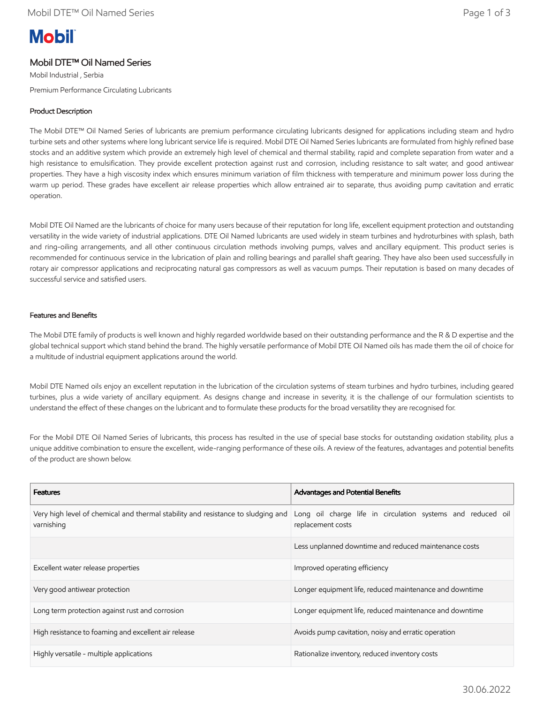# **Mobil**

# Mobil DTE™ Oil Named Series

Mobil Industrial , Serbia Premium Performance Circulating Lubricants

### Product Description

The Mobil DTE™ Oil Named Series of lubricants are premium performance circulating lubricants designed for applications including steam and hydro turbine sets and other systems where long lubricant service life is required. Mobil DTE Oil Named Series lubricants are formulated from highly refined base stocks and an additive system which provide an extremely high level of chemical and thermal stability, rapid and complete separation from water and a high resistance to emulsification. They provide excellent protection against rust and corrosion, including resistance to salt water, and good antiwear properties. They have a high viscosity index which ensures minimum variation of film thickness with temperature and minimum power loss during the warm up period. These grades have excellent air release properties which allow entrained air to separate, thus avoiding pump cavitation and erratic operation.

Mobil DTE Oil Named are the lubricants of choice for many users because of their reputation for long life, excellent equipment protection and outstanding versatility in the wide variety of industrial applications. DTE Oil Named lubricants are used widely in steam turbines and hydroturbines with splash, bath and ring-oiling arrangements, and all other continuous circulation methods involving pumps, valves and ancillary equipment. This product series is recommended for continuous service in the lubrication of plain and rolling bearings and parallel shaft gearing. They have also been used successfully in rotary air compressor applications and reciprocating natural gas compressors as well as vacuum pumps. Their reputation is based on many decades of successful service and satisfied users.

#### Features and Benefits

The Mobil DTE family of products is well known and highly regarded worldwide based on their outstanding performance and the R & D expertise and the global technical support which stand behind the brand. The highly versatile performance of Mobil DTE Oil Named oils has made them the oil of choice for a multitude of industrial equipment applications around the world.

Mobil DTE Named oils enjoy an excellent reputation in the lubrication of the circulation systems of steam turbines and hydro turbines, including geared turbines, plus a wide variety of ancillary equipment. As designs change and increase in severity, it is the challenge of our formulation scientists to understand the effect of these changes on the lubricant and to formulate these products for the broad versatility they are recognised for.

For the Mobil DTE Oil Named Series of lubricants, this process has resulted in the use of special base stocks for outstanding oxidation stability, plus a unique additive combination to ensure the excellent, wide-ranging performance of these oils. A review of the features, advantages and potential benefits of the product are shown below.

| <b>Features</b>                                                                                | Advantages and Potential Benefits                                                |
|------------------------------------------------------------------------------------------------|----------------------------------------------------------------------------------|
| Very high level of chemical and thermal stability and resistance to sludging and<br>varnishing | Long oil charge life in circulation systems and reduced oil<br>replacement costs |
|                                                                                                | Less unplanned downtime and reduced maintenance costs                            |
| Excellent water release properties                                                             | Improved operating efficiency                                                    |
| Very good antiwear protection                                                                  | Longer equipment life, reduced maintenance and downtime                          |
| Long term protection against rust and corrosion                                                | Longer equipment life, reduced maintenance and downtime                          |
| High resistance to foaming and excellent air release                                           | Avoids pump cavitation, noisy and erratic operation                              |
| Highly versatile - multiple applications                                                       | Rationalize inventory, reduced inventory costs                                   |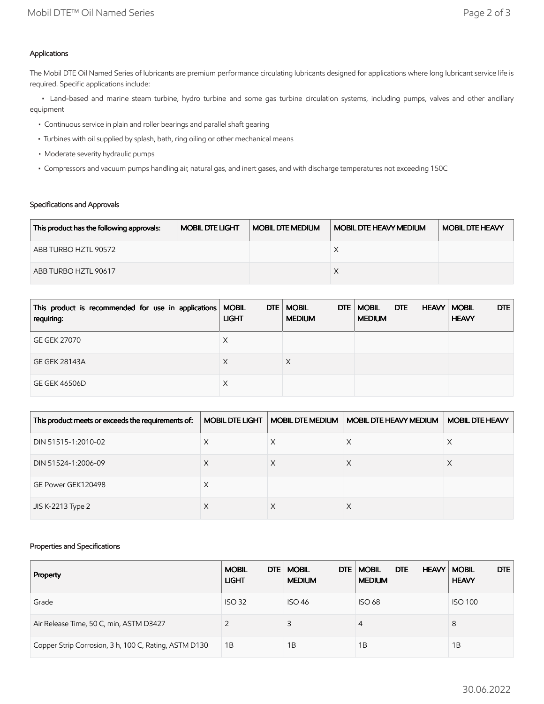## Applications

The Mobil DTE Oil Named Series of lubricants are premium performance circulating lubricants designed for applications where long lubricant service life is required. Specific applications include:

 • Land-based and marine steam turbine, hydro turbine and some gas turbine circulation systems, including pumps, valves and other ancillary equipment

- Continuous service in plain and roller bearings and parallel shaft gearing
- Turbines with oil supplied by splash, bath, ring oiling or other mechanical means
- Moderate severity hydraulic pumps
- Compressors and vacuum pumps handling air, natural gas, and inert gases, and with discharge temperatures not exceeding 150C

## Specifications and Approvals

| This product has the following approvals: | <b>MOBIL DTE LIGHT</b> | <b>MOBIL DTE MEDIUM</b> | <b>MOBIL DTE HEAVY MEDIUM</b> | <b>MOBIL DTE HEAVY</b> |
|-------------------------------------------|------------------------|-------------------------|-------------------------------|------------------------|
| ABB TURBO HZTL 90572                      |                        |                         |                               |                        |
| ABB TURBO HZTL 90617                      |                        |                         |                               |                        |

| This product is recommended for use in applications   MOBIL<br>requiring: | <b>LIGHT</b> | DTE   MOBIL<br>DTE<br><b>MEDIUM</b> | <b>MOBIL</b><br>DTE<br><b>MEDIUM</b> | DTE<br><b>HEAVY   MOBIL</b><br><b>HEAVY</b> |
|---------------------------------------------------------------------------|--------------|-------------------------------------|--------------------------------------|---------------------------------------------|
| <b>GE GEK 27070</b>                                                       | Х            |                                     |                                      |                                             |
| <b>GE GEK 28143A</b>                                                      | Х            |                                     |                                      |                                             |
| <b>GE GEK 46506D</b>                                                      | Х            |                                     |                                      |                                             |

| This product meets or exceeds the requirements of: | <b>MOBIL DTE LIGHT</b> | <b>MOBIL DTE MEDIUM</b> | <b>MOBIL DTE HEAVY MEDIUM</b> | <b>MOBIL DTE HEAVY</b> |
|----------------------------------------------------|------------------------|-------------------------|-------------------------------|------------------------|
| DIN 51515-1:2010-02                                | Х                      | X                       | X                             | ∧                      |
| DIN 51524-1:2006-09                                | ⋏                      |                         |                               |                        |
| GE Power GEK120498                                 | Х                      |                         |                               |                        |
| JIS K-2213 Type 2                                  | $\lambda$              |                         | ∧                             |                        |

### Properties and Specifications

| Property                                              | DTE  <br><b>MOBIL</b><br><b>LIGHT</b> | <b>MOBIL</b><br>DTE.<br><b>MEDIUM</b> | <b>DTE</b><br><b>MOBIL</b><br><b>HEAVY   MOBIL</b><br><b>MEDIUM</b> | <b>DTE</b><br><b>HEAVY</b> |
|-------------------------------------------------------|---------------------------------------|---------------------------------------|---------------------------------------------------------------------|----------------------------|
| Grade                                                 | <b>ISO 32</b>                         | <b>ISO 46</b>                         | <b>ISO 68</b>                                                       | <b>ISO 100</b>             |
| Air Release Time, 50 C, min, ASTM D3427               |                                       | 3                                     | 4                                                                   | 8                          |
| Copper Strip Corrosion, 3 h, 100 C, Rating, ASTM D130 | 1B                                    | 1B                                    | 1Β                                                                  | 1B                         |